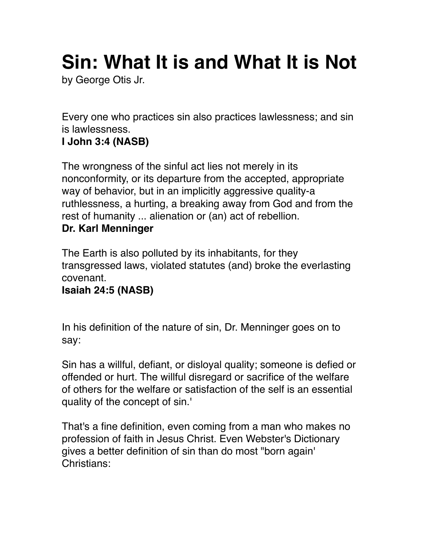# **Sin: What It is and What It is Not**

by George Otis Jr.

Every one who practices sin also practices lawlessness; and sin is lawlessness.

# **I John 3:4 (NASB)**

The wrongness of the sinful act lies not merely in its nonconformity, or its departure from the accepted, appropriate way of behavior, but in an implicitly aggressive quality-a ruthlessness, a hurting, a breaking away from God and from the rest of humanity ... alienation or (an) act of rebellion. **Dr. Karl Menninger** 

The Earth is also polluted by its inhabitants, for they transgressed laws, violated statutes (and) broke the everlasting covenant.

# **Isaiah 24:5 (NASB)**

In his definition of the nature of sin, Dr. Menninger goes on to say:

Sin has a willful, defiant, or disloyal quality; someone is defied or offended or hurt. The willful disregard or sacrifice of the welfare of others for the welfare or satisfaction of the self is an essential quality of the concept of sin.'

That's a fine definition, even coming from a man who makes no profession of faith in Jesus Christ. Even Webster's Dictionary gives a better definition of sin than do most "born again' Christians: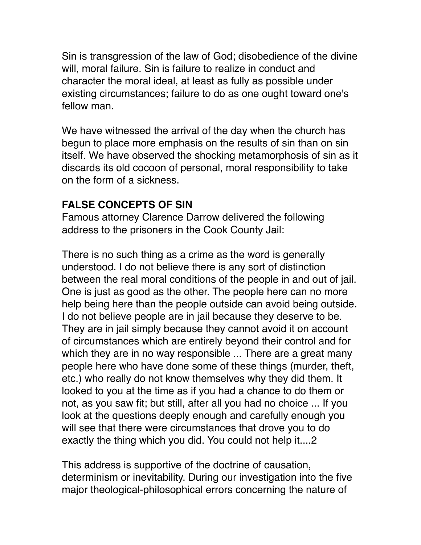Sin is transgression of the law of God; disobedience of the divine will, moral failure. Sin is failure to realize in conduct and character the moral ideal, at least as fully as possible under existing circumstances; failure to do as one ought toward one's fellow man.

We have witnessed the arrival of the day when the church has begun to place more emphasis on the results of sin than on sin itself. We have observed the shocking metamorphosis of sin as it discards its old cocoon of personal, moral responsibility to take on the form of a sickness.

#### **FALSE CONCEPTS OF SIN**

Famous attorney Clarence Darrow delivered the following address to the prisoners in the Cook County Jail:

There is no such thing as a crime as the word is generally understood. I do not believe there is any sort of distinction between the real moral conditions of the people in and out of jail. One is just as good as the other. The people here can no more help being here than the people outside can avoid being outside. I do not believe people are in jail because they deserve to be. They are in jail simply because they cannot avoid it on account of circumstances which are entirely beyond their control and for which they are in no way responsible ... There are a great many people here who have done some of these things (murder, theft, etc.) who really do not know themselves why they did them. It looked to you at the time as if you had a chance to do them or not, as you saw fit; but still, after all you had no choice ... If you look at the questions deeply enough and carefully enough you will see that there were circumstances that drove you to do exactly the thing which you did. You could not help it....2

This address is supportive of the doctrine of causation, determinism or inevitability. During our investigation into the five major theological-philosophical errors concerning the nature of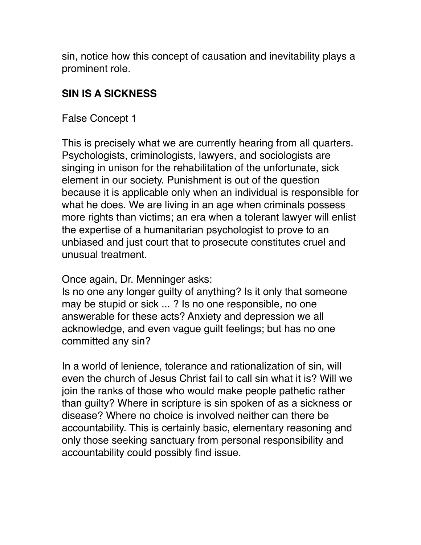sin, notice how this concept of causation and inevitability plays a prominent role.

# **SIN IS A SICKNESS**

False Concept 1

This is precisely what we are currently hearing from all quarters. Psychologists, criminologists, lawyers, and sociologists are singing in unison for the rehabilitation of the unfortunate, sick element in our society. Punishment is out of the question because it is applicable only when an individual is responsible for what he does. We are living in an age when criminals possess more rights than victims; an era when a tolerant lawyer will enlist the expertise of a humanitarian psychologist to prove to an unbiased and just court that to prosecute constitutes cruel and unusual treatment.

Once again, Dr. Menninger asks:

Is no one any longer guilty of anything? Is it only that someone may be stupid or sick ... ? Is no one responsible, no one answerable for these acts? Anxiety and depression we all acknowledge, and even vague guilt feelings; but has no one committed any sin?

In a world of lenience, tolerance and rationalization of sin, will even the church of Jesus Christ fail to call sin what it is? Will we join the ranks of those who would make people pathetic rather than guilty? Where in scripture is sin spoken of as a sickness or disease? Where no choice is involved neither can there be accountability. This is certainly basic, elementary reasoning and only those seeking sanctuary from personal responsibility and accountability could possibly find issue.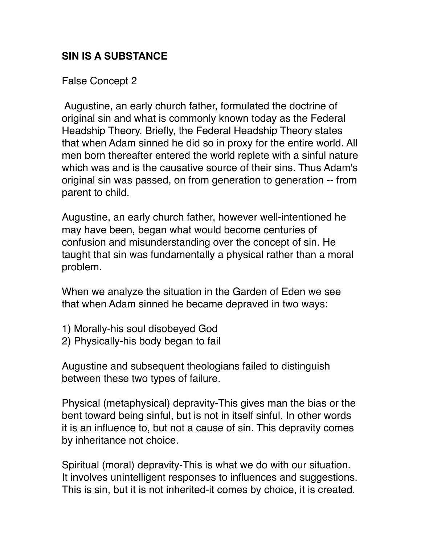# **SIN IS A SUBSTANCE**

False Concept 2

 Augustine, an early church father, formulated the doctrine of original sin and what is commonly known today as the Federal Headship Theory. Briefly, the Federal Headship Theory states that when Adam sinned he did so in proxy for the entire world. All men born thereafter entered the world replete with a sinful nature which was and is the causative source of their sins. Thus Adam's original sin was passed, on from generation to generation -- from parent to child.

Augustine, an early church father, however well-intentioned he may have been, began what would become centuries of confusion and misunderstanding over the concept of sin. He taught that sin was fundamentally a physical rather than a moral problem.

When we analyze the situation in the Garden of Eden we see that when Adam sinned he became depraved in two ways:

- 1) Morally-his soul disobeyed God
- 2) Physically-his body began to fail

Augustine and subsequent theologians failed to distinguish between these two types of failure.

Physical (metaphysical) depravity-This gives man the bias or the bent toward being sinful, but is not in itself sinful. In other words it is an influence to, but not a cause of sin. This depravity comes by inheritance not choice.

Spiritual (moral) depravity-This is what we do with our situation. It involves unintelligent responses to influences and suggestions. This is sin, but it is not inherited-it comes by choice, it is created.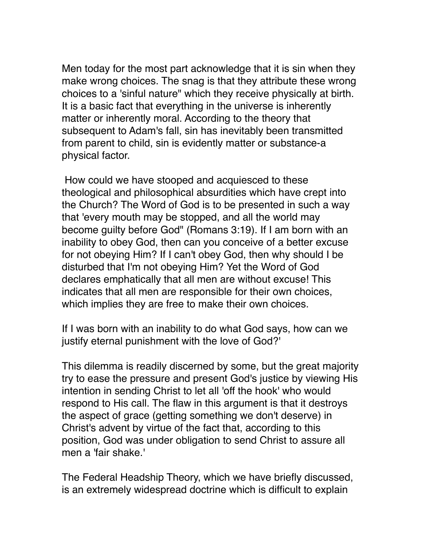Men today for the most part acknowledge that it is sin when they make wrong choices. The snag is that they attribute these wrong choices to a 'sinful nature" which they receive physically at birth. It is a basic fact that everything in the universe is inherently matter or inherently moral. According to the theory that subsequent to Adam's fall, sin has inevitably been transmitted from parent to child, sin is evidently matter or substance-a physical factor.

 How could we have stooped and acquiesced to these theological and philosophical absurdities which have crept into the Church? The Word of God is to be presented in such a way that 'every mouth may be stopped, and all the world may become guilty before God" (Romans 3:19). If I am born with an inability to obey God, then can you conceive of a better excuse for not obeying Him? If I can't obey God, then why should I be disturbed that I'm not obeying Him? Yet the Word of God declares emphatically that all men are without excuse! This indicates that all men are responsible for their own choices, which implies they are free to make their own choices.

If I was born with an inability to do what God says, how can we justify eternal punishment with the love of God?'

This dilemma is readily discerned by some, but the great majority try to ease the pressure and present God's justice by viewing His intention in sending Christ to let all 'off the hook' who would respond to His call. The flaw in this argument is that it destroys the aspect of grace (getting something we don't deserve) in Christ's advent by virtue of the fact that, according to this position, God was under obligation to send Christ to assure all men a 'fair shake.'

The Federal Headship Theory, which we have briefly discussed, is an extremely widespread doctrine which is difficult to explain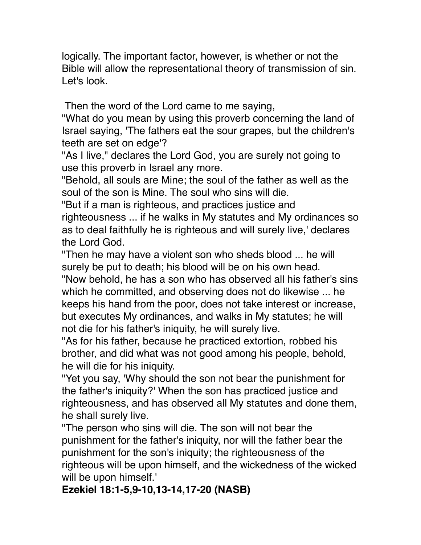logically. The important factor, however, is whether or not the Bible will allow the representational theory of transmission of sin. Let's look.

Then the word of the Lord came to me saying,

"What do you mean by using this proverb concerning the land of Israel saying, 'The fathers eat the sour grapes, but the children's teeth are set on edge'?

"As I live," declares the Lord God, you are surely not going to use this proverb in Israel any more.

"Behold, all souls are Mine; the soul of the father as well as the soul of the son is Mine. The soul who sins will die.

"But if a man is righteous, and practices justice and righteousness ... if he walks in My statutes and My ordinances so as to deal faithfully he is righteous and will surely live,' declares the Lord God.

"Then he may have a violent son who sheds blood ... he will surely be put to death; his blood will be on his own head.

"Now behold, he has a son who has observed all his father's sins which he committed, and observing does not do likewise ... he keeps his hand from the poor, does not take interest or increase, but executes My ordinances, and walks in My statutes; he will not die for his father's iniquity, he will surely live.

"As for his father, because he practiced extortion, robbed his brother, and did what was not good among his people, behold, he will die for his iniquity.

"Yet you say, 'Why should the son not bear the punishment for the father's iniquity?' When the son has practiced justice and righteousness, and has observed all My statutes and done them, he shall surely live.

"The person who sins will die. The son will not bear the punishment for the father's iniquity, nor will the father bear the punishment for the son's iniquity; the righteousness of the righteous will be upon himself, and the wickedness of the wicked will be upon himself.'

**Ezekiel 18:1-5,9-10,13-14,17-20 (NASB)**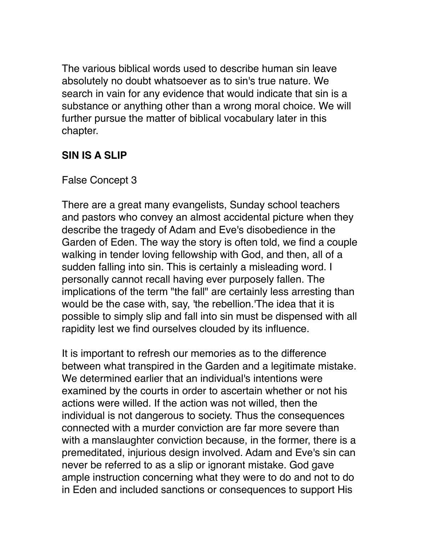The various biblical words used to describe human sin leave absolutely no doubt whatsoever as to sin's true nature. We search in vain for any evidence that would indicate that sin is a substance or anything other than a wrong moral choice. We will further pursue the matter of biblical vocabulary later in this chapter.

# **SIN IS A SLIP**

#### False Concept 3

There are a great many evangelists, Sunday school teachers and pastors who convey an almost accidental picture when they describe the tragedy of Adam and Eve's disobedience in the Garden of Eden. The way the story is often told, we find a couple walking in tender loving fellowship with God, and then, all of a sudden falling into sin. This is certainly a misleading word. I personally cannot recall having ever purposely fallen. The implications of the term "the fall" are certainly less arresting than would be the case with, say, 'the rebellion.'The idea that it is possible to simply slip and fall into sin must be dispensed with all rapidity lest we find ourselves clouded by its influence.

It is important to refresh our memories as to the difference between what transpired in the Garden and a legitimate mistake. We determined earlier that an individual's intentions were examined by the courts in order to ascertain whether or not his actions were willed. If the action was not willed, then the individual is not dangerous to society. Thus the consequences connected with a murder conviction are far more severe than with a manslaughter conviction because, in the former, there is a premeditated, injurious design involved. Adam and Eve's sin can never be referred to as a slip or ignorant mistake. God gave ample instruction concerning what they were to do and not to do in Eden and included sanctions or consequences to support His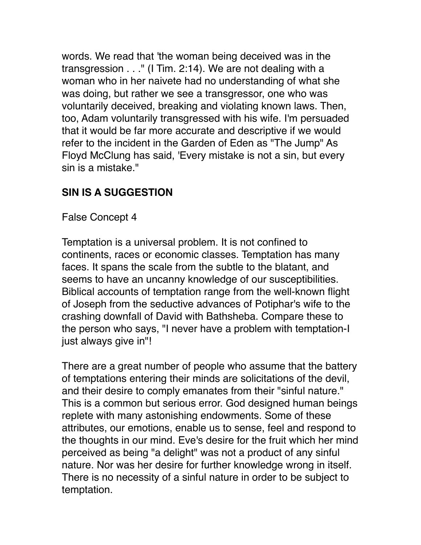words. We read that 'the woman being deceived was in the transgression . . ." (I Tim. 2:14). We are not dealing with a woman who in her naivete had no understanding of what she was doing, but rather we see a transgressor, one who was voluntarily deceived, breaking and violating known laws. Then, too, Adam voluntarily transgressed with his wife. I'm persuaded that it would be far more accurate and descriptive if we would refer to the incident in the Garden of Eden as "The Jump" As Floyd McClung has said, 'Every mistake is not a sin, but every sin is a mistake."

# **SIN IS A SUGGESTION**

False Concept 4

Temptation is a universal problem. It is not confined to continents, races or economic classes. Temptation has many faces. It spans the scale from the subtle to the blatant, and seems to have an uncanny knowledge of our susceptibilities. Biblical accounts of temptation range from the well-known flight of Joseph from the seductive advances of Potiphar's wife to the crashing downfall of David with Bathsheba. Compare these to the person who says, "I never have a problem with temptation-I just always give in"!

There are a great number of people who assume that the battery of temptations entering their minds are solicitations of the devil, and their desire to comply emanates from their "sinful nature." This is a common but serious error. God designed human beings replete with many astonishing endowments. Some of these attributes, our emotions, enable us to sense, feel and respond to the thoughts in our mind. Eve's desire for the fruit which her mind perceived as being "a delight" was not a product of any sinful nature. Nor was her desire for further knowledge wrong in itself. There is no necessity of a sinful nature in order to be subject to temptation.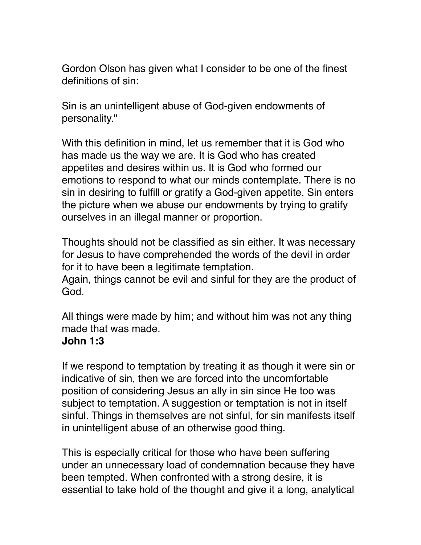Gordon Olson has given what I consider to be one of the finest definitions of sin:

Sin is an unintelligent abuse of God-given endowments of personality."

With this definition in mind, let us remember that it is God who has made us the way we are. It is God who has created appetites and desires within us. It is God who formed our emotions to respond to what our minds contemplate. There is no sin in desiring to fulfill or gratify a God-given appetite. Sin enters the picture when we abuse our endowments by trying to gratify ourselves in an illegal manner or proportion.

Thoughts should not be classified as sin either. It was necessary for Jesus to have comprehended the words of the devil in order for it to have been a legitimate temptation.

Again, things cannot be evil and sinful for they are the product of God.

All things were made by him; and without him was not any thing made that was made.

#### **John 1:3**

If we respond to temptation by treating it as though it were sin or indicative of sin, then we are forced into the uncomfortable position of considering Jesus an ally in sin since He too was subject to temptation. A suggestion or temptation is not in itself sinful. Things in themselves are not sinful, for sin manifests itself in unintelligent abuse of an otherwise good thing.

This is especially critical for those who have been suffering under an unnecessary load of condemnation because they have been tempted. When confronted with a strong desire, it is essential to take hold of the thought and give it a long, analytical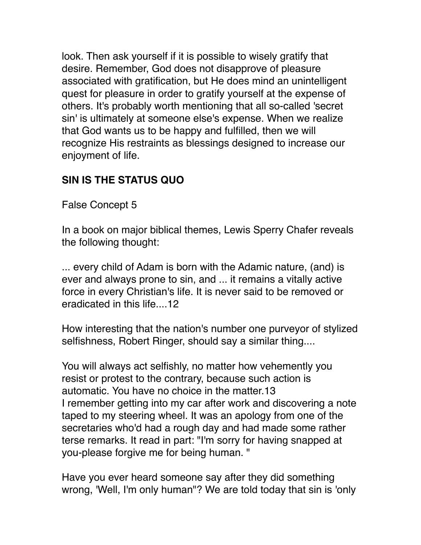look. Then ask yourself if it is possible to wisely gratify that desire. Remember, God does not disapprove of pleasure associated with gratification, but He does mind an unintelligent quest for pleasure in order to gratify yourself at the expense of others. It's probably worth mentioning that all so-called 'secret sin' is ultimately at someone else's expense. When we realize that God wants us to be happy and fulfilled, then we will recognize His restraints as blessings designed to increase our enjoyment of life.

# **SIN IS THE STATUS QUO**

False Concept 5

In a book on major biblical themes, Lewis Sperry Chafer reveals the following thought:

... every child of Adam is born with the Adamic nature, (and) is ever and always prone to sin, and ... it remains a vitally active force in every Christian's life. It is never said to be removed or eradicated in this life....12

How interesting that the nation's number one purveyor of stylized selfishness, Robert Ringer, should say a similar thing....

You will always act selfishly, no matter how vehemently you resist or protest to the contrary, because such action is automatic. You have no choice in the matter.13 I remember getting into my car after work and discovering a note taped to my steering wheel. It was an apology from one of the secretaries who'd had a rough day and had made some rather terse remarks. It read in part: "I'm sorry for having snapped at you-please forgive me for being human. "

Have you ever heard someone say after they did something wrong, 'Well, I'm only human"? We are told today that sin is 'only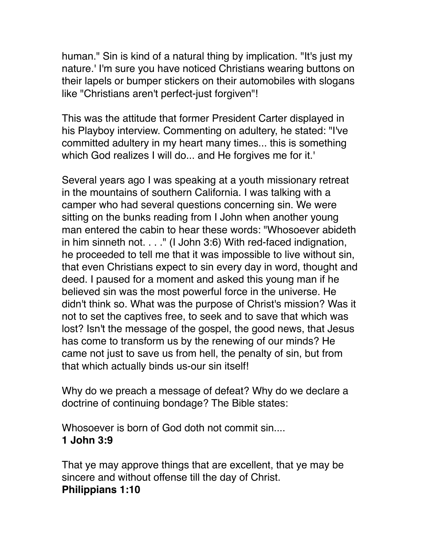human." Sin is kind of a natural thing by implication. "It's just my nature.' I'm sure you have noticed Christians wearing buttons on their lapels or bumper stickers on their automobiles with slogans like "Christians aren't perfect-just forgiven"!

This was the attitude that former President Carter displayed in his Playboy interview. Commenting on adultery, he stated: "I've committed adultery in my heart many times... this is something which God realizes I will do... and He forgives me for it.'

Several years ago I was speaking at a youth missionary retreat in the mountains of southern California. I was talking with a camper who had several questions concerning sin. We were sitting on the bunks reading from I John when another young man entered the cabin to hear these words: "Whosoever abideth in him sinneth not. . . ." (I John 3:6) With red-faced indignation, he proceeded to tell me that it was impossible to live without sin, that even Christians expect to sin every day in word, thought and deed. I paused for a moment and asked this young man if he believed sin was the most powerful force in the universe. He didn't think so. What was the purpose of Christ's mission? Was it not to set the captives free, to seek and to save that which was lost? Isn't the message of the gospel, the good news, that Jesus has come to transform us by the renewing of our minds? He came not just to save us from hell, the penalty of sin, but from that which actually binds us-our sin itself!

Why do we preach a message of defeat? Why do we declare a doctrine of continuing bondage? The Bible states:

Whosoever is born of God doth not commit sin.... **1 John 3:9** 

That ye may approve things that are excellent, that ye may be sincere and without offense till the day of Christ. **Philippians 1:10**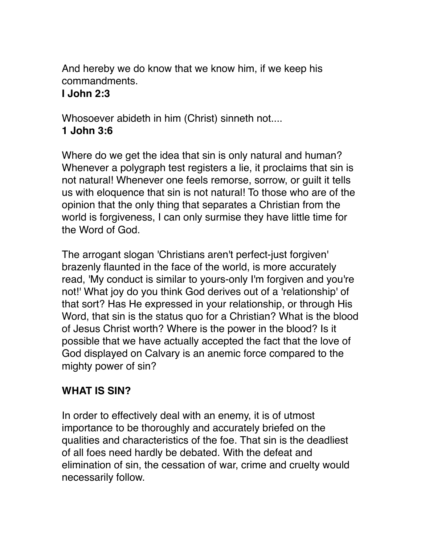And hereby we do know that we know him, if we keep his commandments.

# **I John 2:3**

Whosoever abideth in him (Christ) sinneth not.... **1 John 3:6** 

Where do we get the idea that sin is only natural and human? Whenever a polygraph test registers a lie, it proclaims that sin is not natural! Whenever one feels remorse, sorrow, or guilt it tells us with eloquence that sin is not natural! To those who are of the opinion that the only thing that separates a Christian from the world is forgiveness, I can only surmise they have little time for the Word of God.

The arrogant slogan 'Christians aren't perfect-just forgiven' brazenly flaunted in the face of the world, is more accurately read, 'My conduct is similar to yours-only I'm forgiven and you're not!' What joy do you think God derives out of a 'relationship' of that sort? Has He expressed in your relationship, or through His Word, that sin is the status quo for a Christian? What is the blood of Jesus Christ worth? Where is the power in the blood? Is it possible that we have actually accepted the fact that the love of God displayed on Calvary is an anemic force compared to the mighty power of sin?

# **WHAT IS SIN?**

In order to effectively deal with an enemy, it is of utmost importance to be thoroughly and accurately briefed on the qualities and characteristics of the foe. That sin is the deadliest of all foes need hardly be debated. With the defeat and elimination of sin, the cessation of war, crime and cruelty would necessarily follow.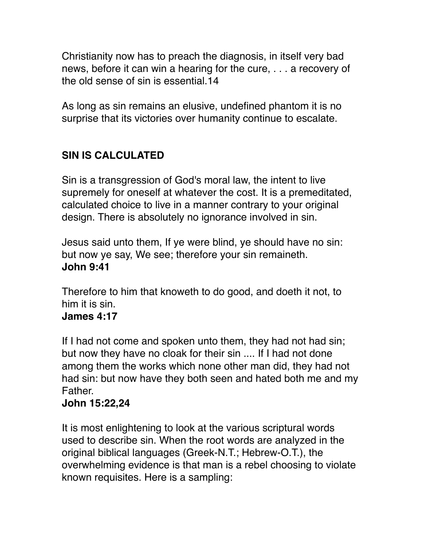Christianity now has to preach the diagnosis, in itself very bad news, before it can win a hearing for the cure, . . . a recovery of the old sense of sin is essential.14

As long as sin remains an elusive, undefined phantom it is no surprise that its victories over humanity continue to escalate.

# **SIN IS CALCULATED**

Sin is a transgression of God's moral law, the intent to live supremely for oneself at whatever the cost. It is a premeditated, calculated choice to live in a manner contrary to your original design. There is absolutely no ignorance involved in sin.

Jesus said unto them, If ye were blind, ye should have no sin: but now ye say, We see; therefore your sin remaineth. **John 9:41**

Therefore to him that knoweth to do good, and doeth it not, to him it is sin.

#### **James 4:17**

If I had not come and spoken unto them, they had not had sin; but now they have no cloak for their sin .... If I had not done among them the works which none other man did, they had not had sin: but now have they both seen and hated both me and my Father.

#### **John 15:22,24**

It is most enlightening to look at the various scriptural words used to describe sin. When the root words are analyzed in the original biblical languages (Greek-N.T.; Hebrew-O.T.), the overwhelming evidence is that man is a rebel choosing to violate known requisites. Here is a sampling: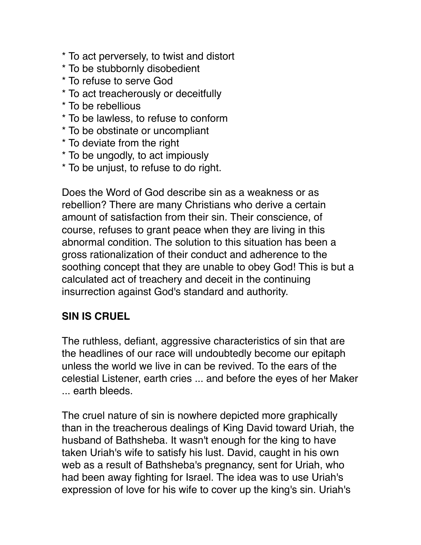\* To act perversely, to twist and distort \* To be stubbornly disobedient \* To refuse to serve God \* To act treacherously or deceitfully \* To be rebellious \* To be lawless, to refuse to conform \* To be obstinate or uncompliant \* To deviate from the right \* To be ungodly, to act impiously \* To be unjust, to refuse to do right.

Does the Word of God describe sin as a weakness or as rebellion? There are many Christians who derive a certain amount of satisfaction from their sin. Their conscience, of course, refuses to grant peace when they are living in this abnormal condition. The solution to this situation has been a gross rationalization of their conduct and adherence to the soothing concept that they are unable to obey God! This is but a calculated act of treachery and deceit in the continuing insurrection against God's standard and authority.

# **SIN IS CRUEL**

The ruthless, defiant, aggressive characteristics of sin that are the headlines of our race will undoubtedly become our epitaph unless the world we live in can be revived. To the ears of the celestial Listener, earth cries ... and before the eyes of her Maker ... earth bleeds.

The cruel nature of sin is nowhere depicted more graphically than in the treacherous dealings of King David toward Uriah, the husband of Bathsheba. It wasn't enough for the king to have taken Uriah's wife to satisfy his lust. David, caught in his own web as a result of Bathsheba's pregnancy, sent for Uriah, who had been away fighting for Israel. The idea was to use Uriah's expression of love for his wife to cover up the king's sin. Uriah's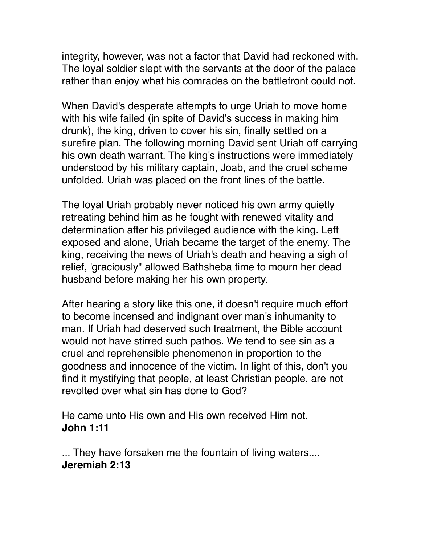integrity, however, was not a factor that David had reckoned with. The loyal soldier slept with the servants at the door of the palace rather than enjoy what his comrades on the battlefront could not.

When David's desperate attempts to urge Uriah to move home with his wife failed (in spite of David's success in making him drunk), the king, driven to cover his sin, finally settled on a surefire plan. The following morning David sent Uriah off carrying his own death warrant. The king's instructions were immediately understood by his military captain, Joab, and the cruel scheme unfolded. Uriah was placed on the front lines of the battle.

The loyal Uriah probably never noticed his own army quietly retreating behind him as he fought with renewed vitality and determination after his privileged audience with the king. Left exposed and alone, Uriah became the target of the enemy. The king, receiving the news of Uriah's death and heaving a sigh of relief, 'graciously" allowed Bathsheba time to mourn her dead husband before making her his own property.

After hearing a story like this one, it doesn't require much effort to become incensed and indignant over man's inhumanity to man. If Uriah had deserved such treatment, the Bible account would not have stirred such pathos. We tend to see sin as a cruel and reprehensible phenomenon in proportion to the goodness and innocence of the victim. In light of this, don't you find it mystifying that people, at least Christian people, are not revolted over what sin has done to God?

He came unto His own and His own received Him not. **John 1:11** 

... They have forsaken me the fountain of living waters.... **Jeremiah 2:13**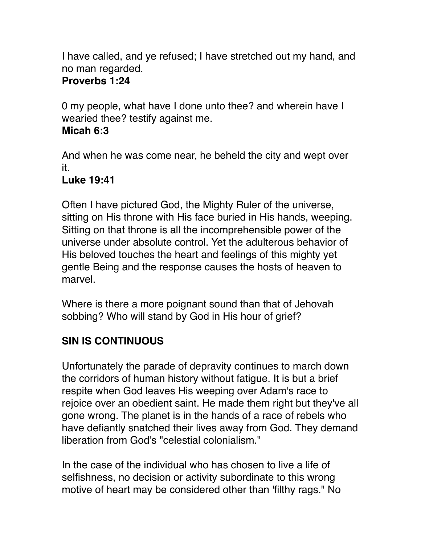I have called, and ye refused; I have stretched out my hand, and no man regarded.

### **Proverbs 1:24**

0 my people, what have I done unto thee? and wherein have I wearied thee? testify against me.

#### **Micah 6:3**

And when he was come near, he beheld the city and wept over it.

# **Luke 19:41**

Often I have pictured God, the Mighty Ruler of the universe, sitting on His throne with His face buried in His hands, weeping. Sitting on that throne is all the incomprehensible power of the universe under absolute control. Yet the adulterous behavior of His beloved touches the heart and feelings of this mighty yet gentle Being and the response causes the hosts of heaven to marvel.

Where is there a more poignant sound than that of Jehovah sobbing? Who will stand by God in His hour of grief?

# **SIN IS CONTINUOUS**

Unfortunately the parade of depravity continues to march down the corridors of human history without fatigue. It is but a brief respite when God leaves His weeping over Adam's race to rejoice over an obedient saint. He made them right but they've all gone wrong. The planet is in the hands of a race of rebels who have defiantly snatched their lives away from God. They demand liberation from God's "celestial colonialism."

In the case of the individual who has chosen to live a life of selfishness, no decision or activity subordinate to this wrong motive of heart may be considered other than 'filthy rags." No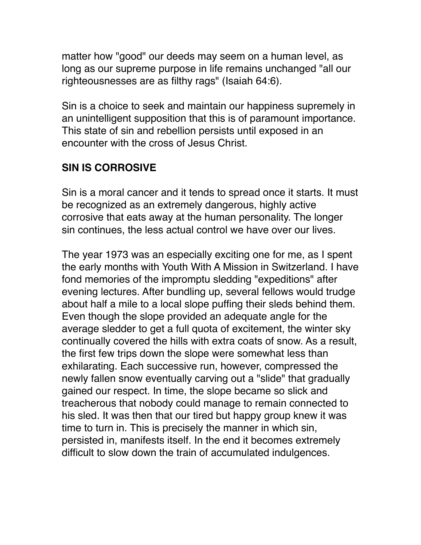matter how "good" our deeds may seem on a human level, as long as our supreme purpose in life remains unchanged "all our righteousnesses are as filthy rags" (Isaiah 64:6).

Sin is a choice to seek and maintain our happiness supremely in an unintelligent supposition that this is of paramount importance. This state of sin and rebellion persists until exposed in an encounter with the cross of Jesus Christ.

# **SIN IS CORROSIVE**

Sin is a moral cancer and it tends to spread once it starts. It must be recognized as an extremely dangerous, highly active corrosive that eats away at the human personality. The longer sin continues, the less actual control we have over our lives.

The year 1973 was an especially exciting one for me, as I spent the early months with Youth With A Mission in Switzerland. I have fond memories of the impromptu sledding "expeditions" after evening lectures. After bundling up, several fellows would trudge about half a mile to a local slope puffing their sleds behind them. Even though the slope provided an adequate angle for the average sledder to get a full quota of excitement, the winter sky continually covered the hills with extra coats of snow. As a result, the first few trips down the slope were somewhat less than exhilarating. Each successive run, however, compressed the newly fallen snow eventually carving out a "slide" that gradually gained our respect. In time, the slope became so slick and treacherous that nobody could manage to remain connected to his sled. It was then that our tired but happy group knew it was time to turn in. This is precisely the manner in which sin, persisted in, manifests itself. In the end it becomes extremely difficult to slow down the train of accumulated indulgences.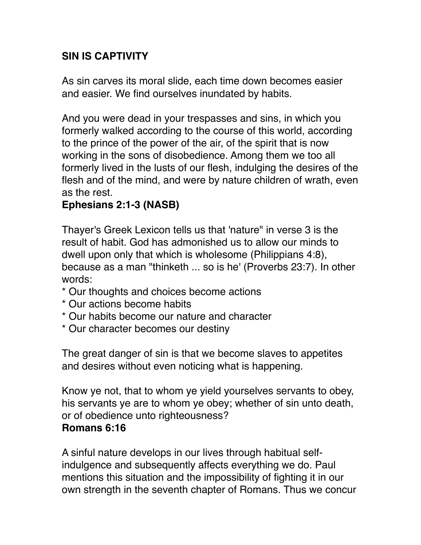# **SIN IS CAPTIVITY**

As sin carves its moral slide, each time down becomes easier and easier. We find ourselves inundated by habits.

And you were dead in your trespasses and sins, in which you formerly walked according to the course of this world, according to the prince of the power of the air, of the spirit that is now working in the sons of disobedience. Among them we too all formerly lived in the lusts of our flesh, indulging the desires of the flesh and of the mind, and were by nature children of wrath, even as the rest.

# **Ephesians 2:1-3 (NASB)**

Thayer's Greek Lexicon tells us that 'nature" in verse 3 is the result of habit. God has admonished us to allow our minds to dwell upon only that which is wholesome (Philippians 4:8), because as a man "thinketh ... so is he' (Proverbs 23:7). In other words:

- \* Our thoughts and choices become actions
- \* Our actions become habits
- \* Our habits become our nature and character
- \* Our character becomes our destiny

The great danger of sin is that we become slaves to appetites and desires without even noticing what is happening.

Know ye not, that to whom ye yield yourselves servants to obey, his servants ye are to whom ye obey; whether of sin unto death, or of obedience unto righteousness?

#### **Romans 6:16**

A sinful nature develops in our lives through habitual selfindulgence and subsequently affects everything we do. Paul mentions this situation and the impossibility of fighting it in our own strength in the seventh chapter of Romans. Thus we concur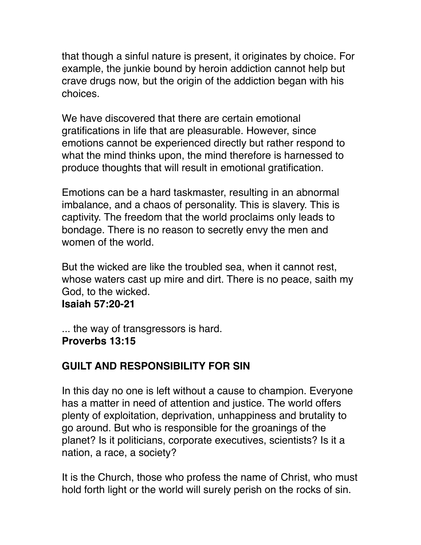that though a sinful nature is present, it originates by choice. For example, the junkie bound by heroin addiction cannot help but crave drugs now, but the origin of the addiction began with his choices.

We have discovered that there are certain emotional gratifications in life that are pleasurable. However, since emotions cannot be experienced directly but rather respond to what the mind thinks upon, the mind therefore is harnessed to produce thoughts that will result in emotional gratification.

Emotions can be a hard taskmaster, resulting in an abnormal imbalance, and a chaos of personality. This is slavery. This is captivity. The freedom that the world proclaims only leads to bondage. There is no reason to secretly envy the men and women of the world.

But the wicked are like the troubled sea, when it cannot rest, whose waters cast up mire and dirt. There is no peace, saith my God, to the wicked.

**Isaiah 57:20-21**

... the way of transgressors is hard. **Proverbs 13:15** 

# **GUILT AND RESPONSIBILITY FOR SIN**

In this day no one is left without a cause to champion. Everyone has a matter in need of attention and justice. The world offers plenty of exploitation, deprivation, unhappiness and brutality to go around. But who is responsible for the groanings of the planet? Is it politicians, corporate executives, scientists? Is it a nation, a race, a society?

It is the Church, those who profess the name of Christ, who must hold forth light or the world will surely perish on the rocks of sin.